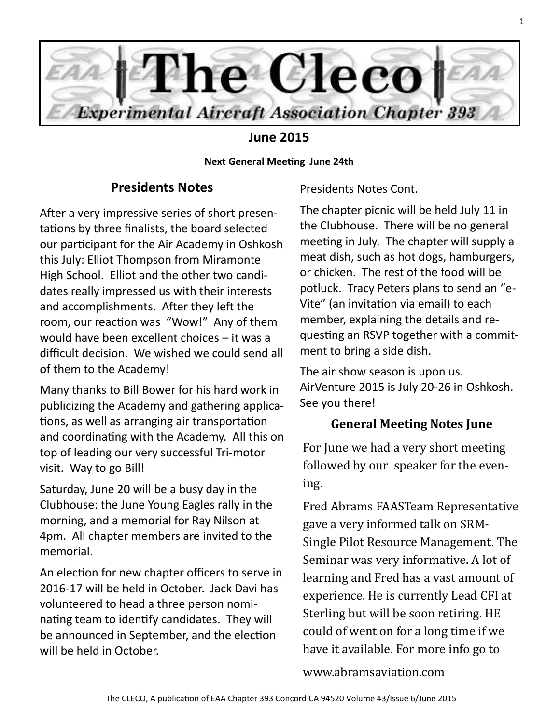

# **June 2015**

**Next General Meeting June 24th**

## **Presidents Notes**

After a very impressive series of short presentations by three finalists, the board selected our participant for the Air Academy in Oshkosh this July: Elliot Thompson from Miramonte High School. Elliot and the other two candidates really impressed us with their interests and accomplishments. After they left the room, our reaction was "Wow!" Any of them would have been excellent choices – it was a difficult decision. We wished we could send all of them to the Academy!

Many thanks to Bill Bower for his hard work in publicizing the Academy and gathering applications, as well as arranging air transportation and coordinating with the Academy. All this on top of leading our very successful Tri-motor visit. Way to go Bill!

Saturday, June 20 will be a busy day in the Clubhouse: the June Young Eagles rally in the morning, and a memorial for Ray Nilson at 4pm. All chapter members are invited to the memorial.

An election for new chapter officers to serve in 2016-17 will be held in October. Jack Davi has volunteered to head a three person nominating team to identify candidates. They will be announced in September, and the election will be held in October.

Presidents Notes Cont.

The chapter picnic will be held July 11 in the Clubhouse. There will be no general meeting in July. The chapter will supply a meat dish, such as hot dogs, hamburgers, or chicken. The rest of the food will be potluck. Tracy Peters plans to send an "e-Vite" (an invitation via email) to each member, explaining the details and requesting an RSVP together with a commitment to bring a side dish.

The air show season is upon us. AirVenture 2015 is July 20-26 in Oshkosh. See you there!

## **General Meeting Notes June**

For June we had a very short meeting followed by our speaker for the evening.

Fred Abrams FAASTeam Representative gave a very informed talk on SRM-Single Pilot Resource Management. The Seminar was very informative. A lot of learning and Fred has a vast amount of experience. He is currently Lead CFI at Sterling but will be soon retiring. HE could of went on for a long time if we have it available. For more info go to

www.abramsaviation.com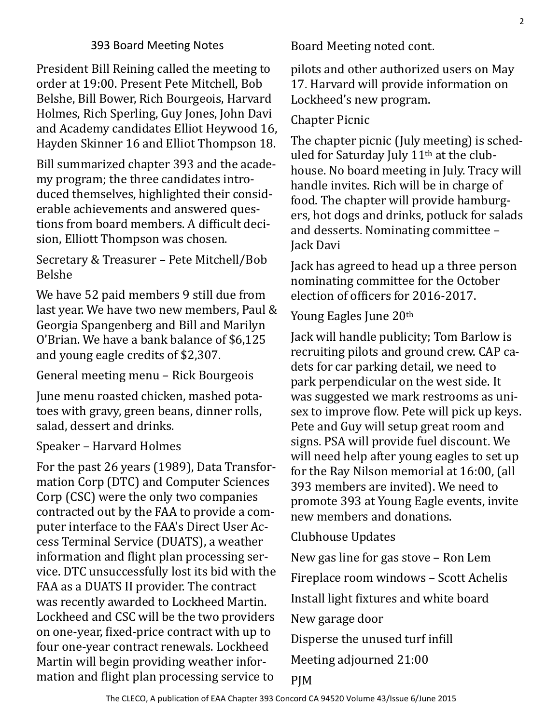President Bill Reining called the meeting to order at 19:00. Present Pete Mitchell, Bob Belshe, Bill Bower, Rich Bourgeois, Harvard Holmes, Rich Sperling, Guy Jones, John Davi and Academy candidates Elliot Heywood 16, Hayden Skinner 16 and Elliot Thompson 18.

Bill summarized chapter 393 and the academy program; the three candidates introduced themselves, highlighted their considerable achievements and answered questions from board members. A difficult decision, Elliott Thompson was chosen.

Secretary & Treasurer – Pete Mitchell/Bob Belshe

We have 52 paid members 9 still due from last year. We have two new members, Paul & Georgia Spangenberg and Bill and Marilyn O'Brian. We have a bank balance of \$6,125 and young eagle credits of \$2,307.

General meeting menu – Rick Bourgeois

June menu roasted chicken, mashed potatoes with gravy, green beans, dinner rolls, salad, dessert and drinks.

Speaker – Harvard Holmes

For the past 26 years (1989), Data Transformation Corp (DTC) and Computer Sciences Corp (CSC) were the only two companies contracted out by the FAA to provide a computer interface to the FAA's Direct User Access Terminal Service (DUATS), a weather information and flight plan processing service. DTC unsuccessfully lost its bid with the FAA as a DUATS II provider. The contract was recently awarded to Lockheed Martin. Lockheed and CSC will be the two providers on one-year, fixed-price contract with up to four one-year contract renewals. Lockheed Martin will begin providing weather information and flight plan processing service to

Board Meeting noted cont.

pilots and other authorized users on May 17. Harvard will provide information on Lockheed's new program.

Chapter Picnic

The chapter picnic (July meeting) is scheduled for Saturday July 11<sup>th</sup> at the clubhouse. No board meeting in July. Tracy will handle invites. Rich will be in charge of food. The chapter will provide hamburgers, hot dogs and drinks, potluck for salads and desserts. Nominating committee – Jack Davi

Jack has agreed to head up a three person nominating committee for the October election of officers for 2016-2017.

Young Eagles June 20th

Jack will handle publicity; Tom Barlow is recruiting pilots and ground crew. CAP cadets for car parking detail, we need to park perpendicular on the west side. It was suggested we mark restrooms as unisex to improve flow. Pete will pick up keys. Pete and Guy will setup great room and signs. PSA will provide fuel discount. We will need help after young eagles to set up for the Ray Nilson memorial at 16:00, (all 393 members are invited). We need to promote 393 at Young Eagle events, invite new members and donations.

Clubhouse Updates

New gas line for gas stove – Ron Lem

Fireplace room windows – Scott Achelis

Install light fixtures and white board

New garage door

Disperse the unused turf infill

Meeting adjourned 21:00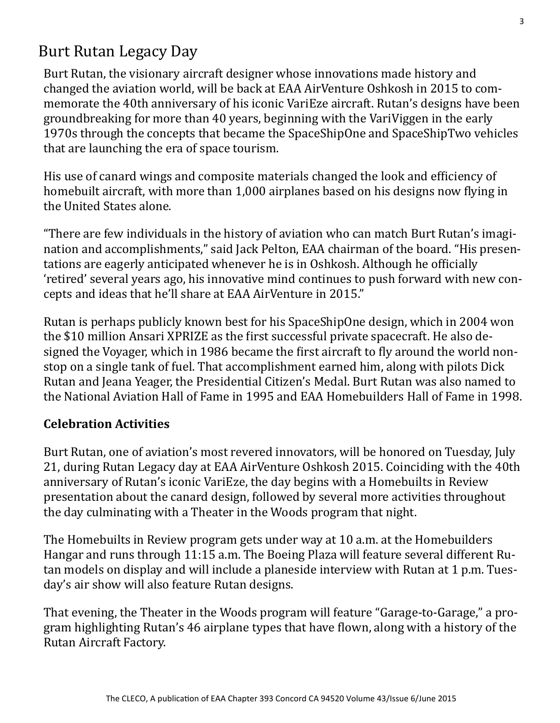# Burt Rutan Legacy Day

Burt Rutan, the visionary aircraft designer whose innovations made history and changed the aviation world, will be back at EAA AirVenture Oshkosh in 2015 to commemorate the 40th anniversary of his iconic VariEze aircraft. Rutan's designs have been groundbreaking for more than 40 years, beginning with the VariViggen in the early 1970s through the concepts that became the SpaceShipOne and SpaceShipTwo vehicles that are launching the era of space tourism.

His use of canard wings and composite materials changed the look and efficiency of homebuilt aircraft, with more than 1,000 airplanes based on his designs now flying in the United States alone.

"There are few individuals in the history of aviation who can match Burt Rutan's imagination and accomplishments," said Jack Pelton, EAA chairman of the board. "His presentations are eagerly anticipated whenever he is in Oshkosh. Although he officially 'retired' several years ago, his innovative mind continues to push forward with new concepts and ideas that he'll share at EAA AirVenture in 2015."

Rutan is perhaps publicly known best for his SpaceShipOne design, which in 2004 won the \$10 million Ansari XPRIZE as the first successful private spacecraft. He also designed the Voyager, which in 1986 became the first aircraft to fly around the world nonstop on a single tank of fuel. That accomplishment earned him, along with pilots Dick Rutan and Jeana Yeager, the Presidential Citizen's Medal. Burt Rutan was also named to the National Aviation Hall of Fame in 1995 and EAA Homebuilders Hall of Fame in 1998.

## **Celebration Activities**

Burt Rutan, one of aviation's most revered innovators, will be honored on Tuesday, July 21, during Rutan Legacy day at EAA AirVenture Oshkosh 2015. Coinciding with the 40th anniversary of Rutan's iconic VariEze, the day begins with a Homebuilts in Review presentation about the canard design, followed by several more activities throughout the day culminating with a Theater in the Woods program that night.

The Homebuilts in Review program gets under way at 10 a.m. at the Homebuilders Hangar and runs through 11:15 a.m. The Boeing Plaza will feature several different Rutan models on display and will include a planeside interview with Rutan at 1 p.m. Tuesday's air show will also feature Rutan designs.

That evening, the Theater in the Woods program will feature "Garage-to-Garage," a program highlighting Rutan's 46 airplane types that have flown, along with a history of the Rutan Aircraft Factory.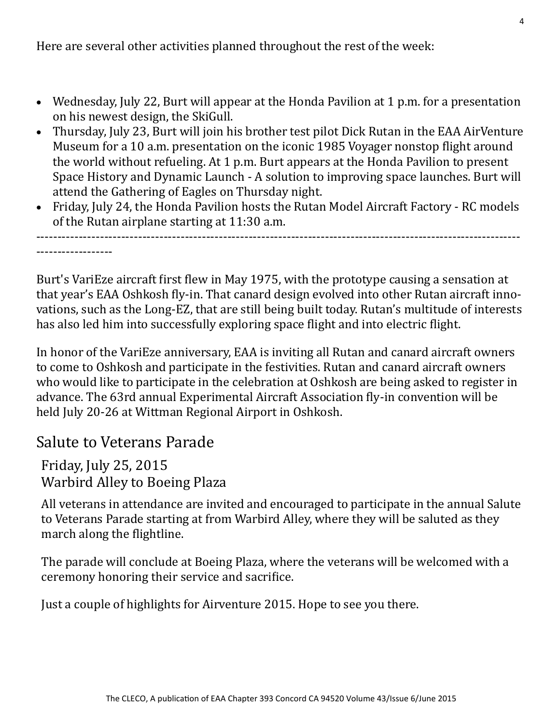Here are several other activities planned throughout the rest of the week:

- Wednesday, July 22, Burt will appear at the Honda Pavilion at 1 p.m. for a presentation on his newest design, the SkiGull.
- Thursday, July 23, Burt will join his brother test pilot Dick Rutan in the EAA AirVenture Museum for a 10 a.m. presentation on the iconic 1985 Voyager nonstop flight around the world without refueling. At 1 p.m. Burt appears at the Honda Pavilion to present Space History and Dynamic Launch - A solution to improving space launches. Burt will attend the Gathering of Eagles on Thursday night.
- Friday, July 24, the Honda Pavilion hosts the Rutan Model Aircraft Factory RC models of the Rutan airplane starting at 11:30 a.m.

------------------------------------------------------------------------------------------------------------------ ------------------

Burt's VariEze aircraft first flew in May 1975, with the prototype causing a sensation at that year's EAA Oshkosh fly-in. That canard design evolved into other Rutan aircraft innovations, such as the Long-EZ, that are still being built today. Rutan's multitude of interests has also led him into successfully exploring space flight and into electric flight.

In honor of the VariEze anniversary, EAA is inviting all Rutan and canard aircraft owners to come to Oshkosh and participate in the festivities. Rutan and canard aircraft owners who would like to participate in the celebration at Oshkosh are being asked to register in advance. The 63rd annual Experimental Aircraft Association fly-in convention will be held July 20-26 at Wittman Regional Airport in Oshkosh.

# Salute to Veterans Parade

Friday, July 25, 2015 Warbird Alley to Boeing Plaza

All veterans in attendance are invited and encouraged to participate in the annual Salute to Veterans Parade starting at from Warbird Alley, where they will be saluted as they march along the flightline.

The parade will conclude at Boeing Plaza, where the veterans will be welcomed with a ceremony honoring their service and sacrifice.

Just a couple of highlights for Airventure 2015. Hope to see you there.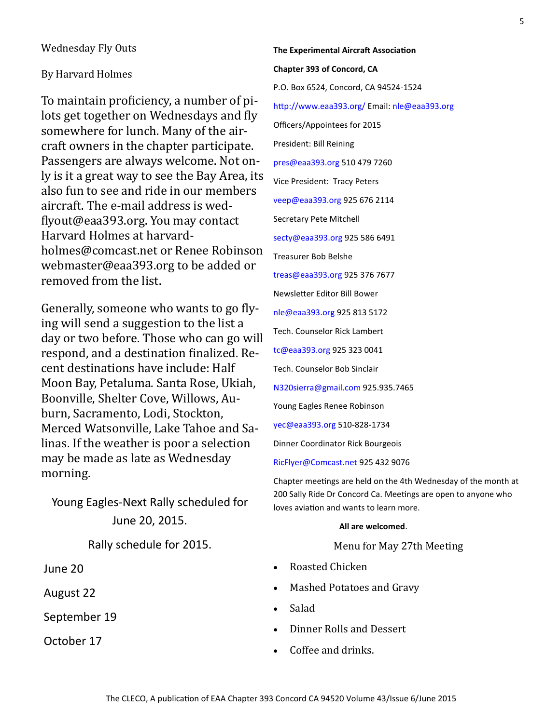### Wednesday Fly Outs

## By Harvard Holmes

To maintain proficiency, a number of pilots get together on Wednesdays and fly somewhere for lunch. Many of the aircraft owners in the chapter participate. Passengers are always welcome. Not only is it a great way to see the Bay Area, its also fun to see and ride in our members aircraft. The e-mail address is wedflyout@eaa393.org. You may contact Harvard Holmes at harvardholmes@comcast.net or Renee Robinson webmaster@eaa393.org to be added or removed from the list.

Generally, someone who wants to go flying will send a suggestion to the list a day or two before. Those who can go will respond, and a destination finalized. Recent destinations have include: Half Moon Bay, Petaluma. Santa Rose, Ukiah, Boonville, Shelter Cove, Willows, Auburn, Sacramento, Lodi, Stockton, Merced Watsonville, Lake Tahoe and Salinas. If the weather is poor a selection may be made as late as Wednesday morning.

Young Eagles-Next Rally scheduled for June 20, 2015.

Rally schedule for 2015.

- June 20
- August 22
- September 19

October 17

**The Experimental Aircraft Association Chapter 393 of Concord, CA** P.O. Box 6524, Concord, CA 94524-1524 http://www.eaa393.org/ Email: nle@eaa393.org Officers/Appointees for 2015 President: Bill Reining pres@eaa393.org 510 479 7260 Vice President: Tracy Peters veep@eaa393.org 925 676 2114 Secretary Pete Mitchell secty@eaa393.org 925 586 6491 Treasurer Bob Belshe treas@eaa393.org 925 376 7677 Newsletter Editor Bill Bower nle@eaa393.org 925 813 5172 Tech. Counselor Rick Lambert tc@eaa393.org 925 323 0041 Tech. Counselor Bob Sinclair N320sierra@gmail.com 925.935.7465 Young Eagles Renee Robinson yec@eaa393.org 510-828-1734

Dinner Coordinator Rick Bourgeois

RicFlyer@Comcast.net 925 432 9076

Chapter meetings are held on the 4th Wednesday of the month at 200 Sally Ride Dr Concord Ca. Meetings are open to anyone who loves aviation and wants to learn more.

#### **All are welcomed**.

### Menu for May 27th Meeting

- Roasted Chicken
- Mashed Potatoes and Gravy
- Salad
- Dinner Rolls and Dessert
- Coffee and drinks.